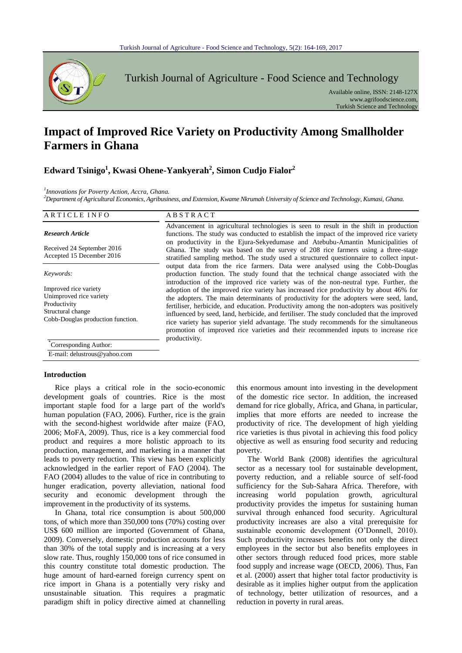

Turkish Journal of Agriculture - Food Science and Technology

Available online, ISSN: 2148-127X www.agrifoodscience.com, Turkish Science and Technology

# **Impact of Improved Rice Variety on Productivity Among Smallholder Farmers in Ghana**

## **Edward Tsinigo<sup>1</sup> , Kwasi Ohene-Yankyerah<sup>2</sup> , Simon Cudjo Fialor<sup>2</sup>**

*1 Innovations for Poverty Action, Accra, Ghana.*

*<sup>2</sup>Department of Agricultural Economics, Agribusiness, and Extension, Kwame Nkrumah University of Science and Technology, Kumasi, Ghana.*

| ARTICLE INFO                                                                                                               | ABSTRACT                                                                                                                                                                                                                                                                                                                                                                                                                                                                                                                                                |
|----------------------------------------------------------------------------------------------------------------------------|---------------------------------------------------------------------------------------------------------------------------------------------------------------------------------------------------------------------------------------------------------------------------------------------------------------------------------------------------------------------------------------------------------------------------------------------------------------------------------------------------------------------------------------------------------|
| <b>Research Article</b>                                                                                                    | Advancement in agricultural technologies is seen to result in the shift in production<br>functions. The study was conducted to establish the impact of the improved rice variety<br>on productivity in the Ejura-Sekyedumase and Atebubu-Amantin Municipalities of                                                                                                                                                                                                                                                                                      |
| Received 24 September 2016<br>Accepted 15 December 2016                                                                    | Ghana. The study was based on the survey of 208 rice farmers using a three-stage<br>stratified sampling method. The study used a structured questionnaire to collect input-                                                                                                                                                                                                                                                                                                                                                                             |
| Keywords:                                                                                                                  | output data from the rice farmers. Data were analysed using the Cobb-Douglas<br>production function. The study found that the technical change associated with the<br>introduction of the improved rice variety was of the non-neutral type. Further, the                                                                                                                                                                                                                                                                                               |
| Improved rice variety<br>Unimproved rice variety<br>Productivity<br>Structural change<br>Cobb-Douglas production function. | adoption of the improved rice variety has increased rice productivity by about 46% for<br>the adopters. The main determinants of productivity for the adopters were seed, land,<br>fertiliser, herbicide, and education. Productivity among the non-adopters was positively<br>influenced by seed, land, herbicide, and fertiliser. The study concluded that the improved<br>rice variety has superior yield advantage. The study recommends for the simultaneous<br>promotion of improved rice varieties and their recommended inputs to increase rice |
| Corresponding Author:<br>$\mathbf{a}$ , $\mathbf{a}$ , $\mathbf{a}$ , $\mathbf{a}$ , $\mathbf{a}$ , $\mathbf{a}$           | productivity.                                                                                                                                                                                                                                                                                                                                                                                                                                                                                                                                           |

E-mail: delustrous@yahoo.com

### **Introduction**

Rice plays a critical role in the socio-economic development goals of countries. Rice is the most important staple food for a large part of the world's human population (FAO, 2006). Further, rice is the grain with the second-highest worldwide after maize (FAO, 2006; MoFA, 2009). Thus, rice is a key commercial food product and requires a more holistic approach to its production, management, and marketing in a manner that leads to poverty reduction. This view has been explicitly acknowledged in the earlier report of FAO (2004). The FAO (2004) alludes to the value of rice in contributing to hunger eradication, poverty alleviation, national food security and economic development through the improvement in the productivity of its systems.

In Ghana, total rice consumption is about 500,000 tons, of which more than 350,000 tons (70%) costing over US\$ 600 million are imported (Government of Ghana, 2009). Conversely, domestic production accounts for less than 30% of the total supply and is increasing at a very slow rate. Thus, roughly 150,000 tons of rice consumed in this country constitute total domestic production. The huge amount of hard-earned foreign currency spent on rice import in Ghana is a potentially very risky and unsustainable situation. This requires a pragmatic paradigm shift in policy directive aimed at channelling

this enormous amount into investing in the development of the domestic rice sector. In addition, the increased demand for rice globally, Africa, and Ghana, in particular, implies that more efforts are needed to increase the productivity of rice. The development of high yielding rice varieties is thus pivotal in achieving this food policy objective as well as ensuring food security and reducing poverty.

The World Bank (2008) identifies the agricultural sector as a necessary tool for sustainable development, poverty reduction, and a reliable source of self-food sufficiency for the Sub-Sahara Africa. Therefore, with increasing world population growth, agricultural productivity provides the impetus for sustaining human survival through enhanced food security. Agricultural productivity increases are also a vital prerequisite for sustainable economic development (O'Donnell, 2010). Such productivity increases benefits not only the direct employees in the sector but also benefits employees in other sectors through reduced food prices, more stable food supply and increase wage (OECD, 2006). Thus, Fan et al. (2000) assert that higher total factor productivity is desirable as it implies higher output from the application of technology, better utilization of resources, and a reduction in poverty in rural areas.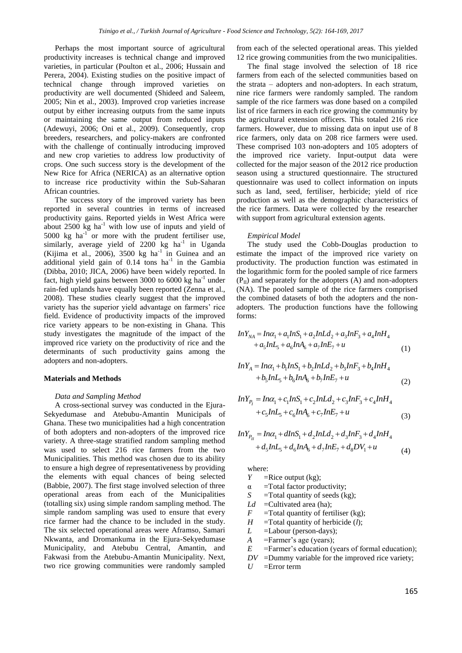Perhaps the most important source of agricultural productivity increases is technical change and improved varieties, in particular (Poulton et al., 2006; Hussain and Perera, 2004). Existing studies on the positive impact of technical change through improved varieties on productivity are well documented (Shideed and Saleem, 2005; Nin et al., 2003). Improved crop varieties increase output by either increasing outputs from the same inputs or maintaining the same output from reduced inputs (Adewuyi, 2006; Oni et al., 2009). Consequently, crop breeders, researchers, and policy-makers are confronted with the challenge of continually introducing improved and new crop varieties to address low productivity of crops. One such success story is the development of the New Rice for Africa (NERICA) as an alternative option to increase rice productivity within the Sub-Saharan African countries.

The success story of the improved variety has been reported in several countries in terms of increased productivity gains. Reported yields in West Africa were about  $2500 \text{ kg}$  ha<sup>-1</sup> with low use of inputs and yield of 5000 kg ha-1 or more with the prudent fertiliser use, similarly, average yield of  $2200$  kg ha<sup>-1</sup> in Uganda (Kijima et al.,  $2006$ ),  $3500$  kg ha<sup>-1</sup> in Guinea and an additional yield gain of  $0.14$  tons ha<sup>-1</sup> in the Gambia (Dibba, 2010; JICA, 2006) have been widely reported. In fact, high yield gains between 3000 to  $6000 \text{ kg}$  ha<sup>-1</sup> under rain-fed uplands have equally been reported (Zenna et al., 2008). These studies clearly suggest that the improved variety has the superior yield advantage on farmers' rice field. Evidence of productivity impacts of the improved rice variety appears to be non-existing in Ghana. This study investigates the magnitude of the impact of the improved rice variety on the productivity of rice and the determinants of such productivity gains among the adopters and non-adopters.

#### **Materials and Methods**

## *Data and Sampling Method*

A cross-sectional survey was conducted in the Ejura-Sekyedumase and Atebubu-Amantin Municipals of Ghana. These two municipalities had a high concentration of both adopters and non-adopters of the improved rice variety. A three-stage stratified random sampling method was used to select 216 rice farmers from the two Municipalities. This method was chosen due to its ability to ensure a high degree of representativeness by providing the elements with equal chances of being selected (Babbie, 2007). The first stage involved selection of three operational areas from each of the Municipalities (totalling six) using simple random sampling method. The simple random sampling was used to ensure that every rice farmer had the chance to be included in the study. The six selected operational areas were Aframso, Samari Nkwanta, and Dromankuma in the Ejura-Sekyedumase Municipality, and Atebubu Central, Amantin, and Fakwasi from the Atebubu-Amantin Municipality. Next, two rice growing communities were randomly sampled from each of the selected operational areas. This yielded 12 rice growing communities from the two municipalities.

The final stage involved the selection of 18 rice farmers from each of the selected communities based on the strata – adopters and non-adopters. In each stratum, nine rice farmers were randomly sampled. The random sample of the rice farmers was done based on a compiled list of rice farmers in each rice growing the community by the agricultural extension officers. This totaled 216 rice farmers. However, due to missing data on input use of 8 rice farmers, only data on 208 rice farmers were used. These comprised 103 non-adopters and 105 adopters of the improved rice variety. Input-output data were collected for the major season of the 2012 rice production season using a structured questionnaire. The structured questionnaire was used to collect information on inputs such as land, seed, fertiliser, herbicide; yield of rice production as well as the demographic characteristics of the rice farmers. Data were collected by the researcher with support from agricultural extension agents.

## *Empirical Model*

The study used the Cobb-Douglas production to estimate the impact of the improved rice variety on productivity. The production function was estimated in the logarithmic form for the pooled sample of rice farmers  $(P_{II})$  and separately for the adopters (A) and non-adopters (NA). The pooled sample of the rice farmers comprised the combined datasets of both the adopters and the nonadopters. The production functions have the following forms:

forms:  
\n
$$
InY_{NA} = In\alpha_1 + a_1 InS_1 + a_2 InLd_2 + a_3 InF_3 + a_4 InH_4
$$
\n
$$
+ a_5 InL_5 + a_6 InA_6 + a_7 InE_7 + u
$$
\n(1)

$$
+a_{5}lnL_{5} + a_{6}lnA_{6} + a_{7}lnE_{7} + u
$$
\n
$$
lnY_{A} = ln\alpha_{1} + b_{1}lnS_{1} + b_{2}lnLd_{2} + b_{3}lnF_{3} + b_{4}lnH_{4}
$$
\n
$$
+b_{5}lnL_{5} + b_{6}lnA_{6} + b_{7}lnE_{7} + u
$$
\n(2)

$$
+b_5lnL_5 + b_6lnA_6 + b_7lnE_7 + u
$$
\n(2)  
\n
$$
lnY_{P_1} = ln\alpha_1 + c_1lnS_1 + c_2lnLd_2 + c_3lnF_3 + c_4lnH_4
$$
\n
$$
+ c_5lnL_5 + c_6lnA_6 + c_7lnE_7 + u
$$
\n(3)

$$
+c_{5}mL_{5}+c_{6}mA_{6}+c_{7}mE_{7}+u
$$
\n(3)  
\n
$$
lnY_{P_{II}}=ln\alpha_{1}+dInS_{1}+d_{2}lnLd_{2}+d_{3}InF_{3}+d_{4}lnH_{4}
$$
\n
$$
+d_{5}lnL_{5}+d_{6}lnA_{6}+d_{7}lnE_{7}+d_{8}DV_{1}+u
$$
\n(4)

where:

- *Y* = Rice output (kg);
- $\alpha$  =Total factor productivity;
- *S* =Total quantity of seeds (kg);
- *Ld* = Cultivated area (ha);
- $F =$ Total quantity of fertiliser (kg);
- $H$  =Total quantity of herbicide (*l*);
- *L* = Labour (person-days);
- *A* =Farmer's age (years);
- *E* =Farmer's education (years of formal education);
- *DV* =Dummy variable for the improved rice variety;
- $U =$ Error term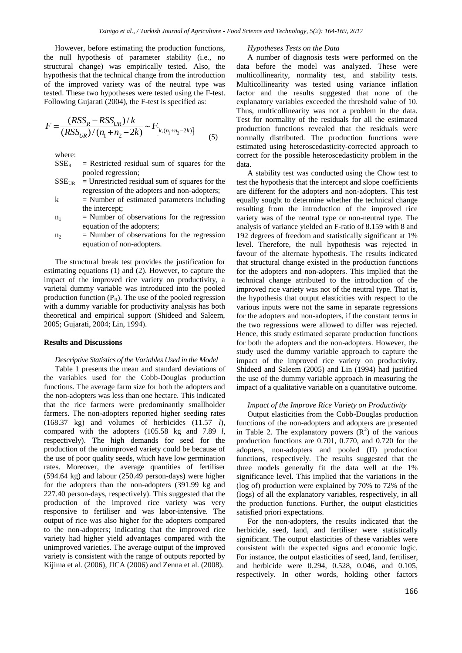However, before estimating the production functions, the null hypothesis of parameter stability (i.e., no structural change) was empirically tested. Also, the hypothesis that the technical change from the introduction of the improved variety was of the neutral type was tested. These two hypotheses were tested using the F-test.

Following Gujarati (2004), the F-test is specified as:  
\n
$$
F = \frac{(RSS_R - RSS_{UR})/k}{(RSS_{UR})/(n_1 + n_2 - 2k)} \sim F_{\left[k,(n_1 + n_2 - 2k)\right]}
$$
\n(5)

where:

 $SSE<sub>R</sub>$  = Restricted residual sum of squares for the pooled regression;

- $SSE<sub>UR</sub>$  = Unrestricted residual sum of squares for the regression of the adopters and non-adopters;
- $k$  = Number of estimated parameters including the intercept;
- $n_1$  = Number of observations for the regression equation of the adopters;
- $n_2$  = Number of observations for the regression equation of non-adopters.

The structural break test provides the justification for estimating equations (1) and (2). However, to capture the impact of the improved rice variety on productivity, a varietal dummy variable was introduced into the pooled production function  $(P_{II})$ . The use of the pooled regression with a dummy variable for productivity analysis has both theoretical and empirical support (Shideed and Saleem, 2005; Gujarati, 2004; Lin, 1994).

## **Results and Discussions**

## *Descriptive Statistics of the Variables Used in the Model*

Table 1 presents the mean and standard deviations of the variables used for the Cobb-Douglas production functions. The average farm size for both the adopters and the non-adopters was less than one hectare. This indicated that the rice farmers were predominantly smallholder farmers. The non-adopters reported higher seeding rates (168.37 kg) and volumes of herbicides (11.57 *l*), compared with the adopters (105.58 kg and 7.89 *l,* respectively). The high demands for seed for the production of the unimproved variety could be because of the use of poor quality seeds, which have low germination rates. Moreover, the average quantities of fertiliser (594.64 kg) and labour (250.49 person-days) were higher for the adopters than the non-adopters (391.99 kg and 227.40 person-days, respectively). This suggested that the production of the improved rice variety was very responsive to fertiliser and was labor-intensive. The output of rice was also higher for the adopters compared to the non-adopters; indicating that the improved rice variety had higher yield advantages compared with the unimproved varieties. The average output of the improved variety is consistent with the range of outputs reported by Kijima et al. (2006), JICA (2006) and Zenna et al. (2008).

#### *Hypotheses Tests on the Data*

A number of diagnosis tests were performed on the data before the model was analyzed. These were multicollinearity, normality test, and stability tests. Multicollinearity was tested using variance inflation factor and the results suggested that none of the explanatory variables exceeded the threshold value of 10. Thus, multicollinearity was not a problem in the data. Test for normality of the residuals for all the estimated production functions revealed that the residuals were normally distributed. The production functions were estimated using heteroscedasticity-corrected approach to correct for the possible heteroscedasticity problem in the data.

A stability test was conducted using the Chow test to test the hypothesis that the intercept and slope coefficients are different for the adopters and non-adopters. This test equally sought to determine whether the technical change resulting from the introduction of the improved rice variety was of the neutral type or non-neutral type. The analysis of variance yielded an F-ratio of 8.159 with 8 and 192 degrees of freedom and statistically significant at 1% level. Therefore, the null hypothesis was rejected in favour of the alternate hypothesis. The results indicated that structural change existed in the production functions for the adopters and non-adopters. This implied that the technical change attributed to the introduction of the improved rice variety was not of the neutral type. That is, the hypothesis that output elasticities with respect to the various inputs were not the same in separate regressions for the adopters and non-adopters, if the constant terms in the two regressions were allowed to differ was rejected. Hence, this study estimated separate production functions for both the adopters and the non-adopters. However, the study used the dummy variable approach to capture the impact of the improved rice variety on productivity. Shideed and Saleem (2005) and Lin (1994) had justified the use of the dummy variable approach in measuring the impact of a qualitative variable on a quantitative outcome.

## *Impact of the Improve Rice Variety on Productivity*

Output elasticities from the Cobb-Douglas production functions of the non-adopters and adopters are presented in Table 2. The explanatory powers  $(R^2)$  of the various production functions are 0.701, 0.770, and 0.720 for the adopters, non-adopters and pooled (II) production functions, respectively. The results suggested that the three models generally fit the data well at the 1% significance level. This implied that the variations in the (log of) production were explained by 70% to 72% of the (logs) of all the explanatory variables, respectively, in all the production functions. Further, the output elasticities satisfied priori expectations.

For the non-adopters, the results indicated that the herbicide, seed, land, and fertiliser were statistically significant. The output elasticities of these variables were consistent with the expected signs and economic logic. For instance, the output elasticities of seed, land, fertiliser, and herbicide were 0.294, 0.528, 0.046, and 0.105, respectively. In other words, holding other factors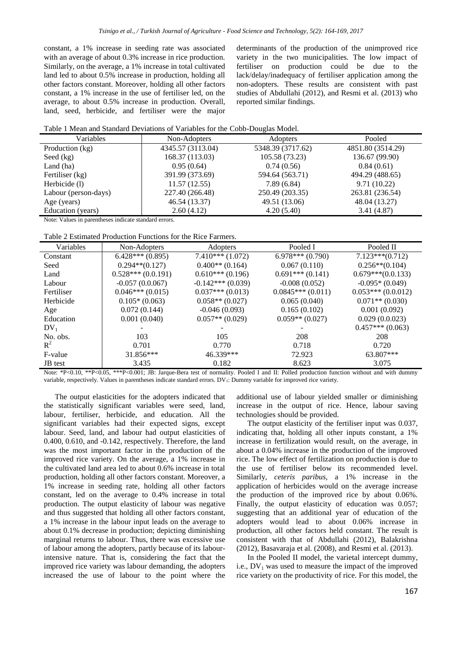constant, a 1% increase in seeding rate was associated with an average of about 0.3% increase in rice production. Similarly, on the average, a 1% increase in total cultivated land led to about 0.5% increase in production, holding all other factors constant. Moreover, holding all other factors constant, a 1% increase in the use of fertiliser led, on the average, to about 0.5% increase in production. Overall, land, seed, herbicide, and fertiliser were the major determinants of the production of the unimproved rice variety in the two municipalities. The low impact of fertiliser on production could be due to the lack/delay/inadequacy of fertiliser application among the non-adopters. These results are consistent with past studies of Abdullahi (2012), and Resmi et al. (2013) who reported similar findings.

|  | Table 1 Mean and Standard Deviations of Variables for the Cobb-Douglas Model. |
|--|-------------------------------------------------------------------------------|
|  |                                                                               |

| Variables            | Non-Adopters      | <b>Adopters</b>   | Pooled            |
|----------------------|-------------------|-------------------|-------------------|
| Production (kg)      | 4345.57 (3113.04) | 5348.39 (3717.62) | 4851.80 (3514.29) |
| Seed $(kg)$          | 168.37 (113.03)   | 105.58 (73.23)    | 136.67 (99.90)    |
| Land (ha)            | 0.95(0.64)        | 0.74(0.56)        | 0.84(0.61)        |
| Fertiliser (kg)      | 391.99 (373.69)   | 594.64 (563.71)   | 494.29 (488.65)   |
| Herbicide (1)        | 11.57(12.55)      | 7.89(6.84)        | 9.71(10.22)       |
| Labour (person-days) | 227.40 (266.48)   | 250.49 (203.35)   | 263.81 (236.54)   |
| Age (years)          | 46.54 (13.37)     | 49.51 (13.06)     | 48.04 (13.27)     |
| Education (years)    | 2.60(4.12)        | 4.20(5.40)        | 3.41(4.87)        |

Note: Values in parentheses indicate standard errors.

| Variables  | Non-Adopters        | Adopters             | Pooled I           | Pooled II           |
|------------|---------------------|----------------------|--------------------|---------------------|
| Constant   | $6.428***(0.895)$   | $7.410***$ $(1.072)$ | $6.978***(0.790)$  | $7.123***(0.712)$   |
| Seed       | $0.294**$ (0.127)   | $0.400**$ (0.164)    | 0.067(0.110)       | $0.256**$ (0.104)   |
| Land       | $0.528***(0.0.191)$ | $0.610***(0.196)$    | $0.691***(0.141)$  | $0.679***(0.0.133)$ |
| Labour     | $-0.057(0.0.067)$   | $-0.142***(0.039)$   | $-0.008(0.052)$    | $-0.095*(0.049)$    |
| Fertiliser | $0.046***(0.015)$   | $0.037***(0.013)$    | $0.0845***(0.011)$ | $0.053***(0.0.012)$ |
| Herbicide  | $0.105*(0.063)$     | $0.058**$ (0.027)    | 0.065(0.040)       | $0.071**$ (0.030)   |
| Age        | 0.072(0.144)        | $-0.046(0.093)$      | 0.165(0.102)       | 0.001(0.092)        |
| Education  | 0.001(0.040)        | $0.057**$ (0.029)    | $0.059**$ (0.027)  | 0.029(0.0.023)      |
| $DV_1$     |                     |                      |                    | $0.457***(0.063)$   |
| No. obs.   | 103                 | 105                  | 208                | 208                 |
| $R^2$      | 0.701               | 0.770                | 0.718              | 0.720               |
| F-value    | $31.856***$         | 46.339***            | 72.923             | 63.807***           |
| JB test    | 3.435               | 0.182                | 8.623              | 3.075               |

Note: \*P<0.10, \*\*P<0.05, \*\*\*P<0.001; JB: Jarque-Bera test of normality. Pooled I and II: Polled production function without and with dummy variable, respectively. Values in parentheses indicate standard errors. DV<sub>1</sub>: Dummy variable for improved rice variety.

The output elasticities for the adopters indicated that the statistically significant variables were seed, land, labour, fertiliser, herbicide, and education. All the significant variables had their expected signs, except labour. Seed, land, and labour had output elasticities of 0.400, 0.610, and -0.142, respectively. Therefore, the land was the most important factor in the production of the improved rice variety. On the average, a 1% increase in the cultivated land area led to about 0.6% increase in total production, holding all other factors constant. Moreover, a 1% increase in seeding rate, holding all other factors constant, led on the average to 0.4% increase in total production. The output elasticity of labour was negative and thus suggested that holding all other factors constant, a 1% increase in the labour input leads on the average to about 0.1% decrease in production; depicting diminishing marginal returns to labour. Thus, there was excessive use of labour among the adopters, partly because of its labourintensive nature. That is, considering the fact that the improved rice variety was labour demanding, the adopters increased the use of labour to the point where the

additional use of labour yielded smaller or diminishing increase in the output of rice. Hence, labour saving technologies should be provided.

The output elasticity of the fertiliser input was 0.037, indicating that, holding all other inputs constant, a 1% increase in fertilization would result, on the average, in about a 0.04% increase in the production of the improved rice. The low effect of fertilization on production is due to the use of fertiliser below its recommended level. Similarly, *ceteris paribus*, a 1% increase in the application of herbicides would on the average increase the production of the improved rice by about 0.06%. Finally, the output elasticity of education was 0.057; suggesting that an additional year of education of the adopters would lead to about 0.06% increase in production, all other factors held constant. The result is consistent with that of Abdullahi (2012), Balakrishna (2012), Basavaraja et al. (2008), and Resmi et al. (2013).

In the Pooled II model, the varietal intercept dummy, i.e.,  $DV_1$  was used to measure the impact of the improved rice variety on the productivity of rice. For this model, the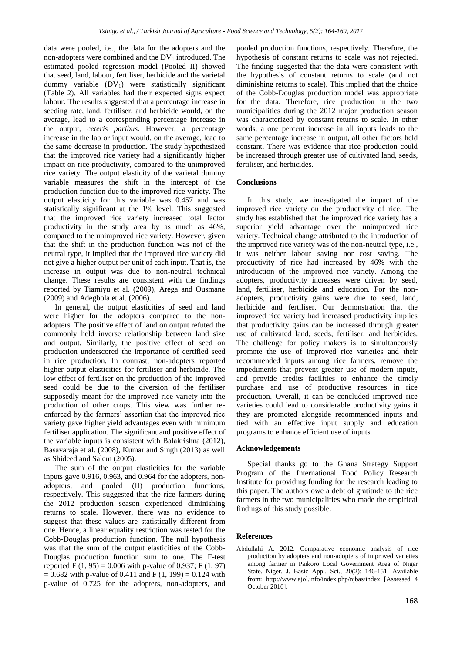data were pooled, i.e., the data for the adopters and the non-adopters were combined and the  $DV_1$  introduced. The estimated pooled regression model (Pooled II) showed that seed, land, labour, fertiliser, herbicide and the varietal dummy variable  $(DV_1)$  were statistically significant (Table 2). All variables had their expected signs expect labour. The results suggested that a percentage increase in seeding rate, land, fertiliser, and herbicide would, on the average, lead to a corresponding percentage increase in the output, *ceteris paribus*. However, a percentage increase in the lab or input would, on the average, lead to the same decrease in production. The study hypothesized that the improved rice variety had a significantly higher impact on rice productivity, compared to the unimproved rice variety. The output elasticity of the varietal dummy variable measures the shift in the intercept of the production function due to the improved rice variety. The output elasticity for this variable was 0.457 and was statistically significant at the 1% level. This suggested that the improved rice variety increased total factor productivity in the study area by as much as 46%, compared to the unimproved rice variety. However, given that the shift in the production function was not of the neutral type, it implied that the improved rice variety did not give a higher output per unit of each input. That is, the increase in output was due to non-neutral technical change. These results are consistent with the findings reported by Tiamiyu et al. (2009), Arega and Ousmane (2009) and Adegbola et al. (2006).

In general, the output elasticities of seed and land were higher for the adopters compared to the nonadopters. The positive effect of land on output refuted the commonly held inverse relationship between land size and output. Similarly, the positive effect of seed on production underscored the importance of certified seed in rice production. In contrast, non-adopters reported higher output elasticities for fertiliser and herbicide. The low effect of fertiliser on the production of the improved seed could be due to the diversion of the fertiliser supposedly meant for the improved rice variety into the production of other crops. This view was further reenforced by the farmers' assertion that the improved rice variety gave higher yield advantages even with minimum fertiliser application. The significant and positive effect of the variable inputs is consistent with Balakrishna (2012), Basavaraja et al. (2008), Kumar and Singh (2013) as well as Shideed and Salem (2005).

The sum of the output elasticities for the variable inputs gave 0.916, 0.963, and 0.964 for the adopters, nonadopters, and pooled (II) production functions, respectively. This suggested that the rice farmers during the 2012 production season experienced diminishing returns to scale. However, there was no evidence to suggest that these values are statistically different from one. Hence, a linear equality restriction was tested for the Cobb-Douglas production function. The null hypothesis was that the sum of the output elasticities of the Cobb-Douglas production function sum to one. The F-test reported F (1, 95) = 0.006 with p-value of 0.937; F (1, 97)  $= 0.682$  with p-value of 0.411 and F (1, 199) = 0.124 with p-value of 0.725 for the adopters, non-adopters, and

pooled production functions, respectively. Therefore, the hypothesis of constant returns to scale was not rejected. The finding suggested that the data were consistent with the hypothesis of constant returns to scale (and not diminishing returns to scale). This implied that the choice of the Cobb-Douglas production model was appropriate for the data. Therefore, rice production in the two municipalities during the 2012 major production season was characterized by constant returns to scale. In other words, a one percent increase in all inputs leads to the same percentage increase in output, all other factors held constant. There was evidence that rice production could be increased through greater use of cultivated land, seeds, fertiliser, and herbicides.

## **Conclusions**

In this study, we investigated the impact of the improved rice variety on the productivity of rice. The study has established that the improved rice variety has a superior yield advantage over the unimproved rice variety. Technical change attributed to the introduction of the improved rice variety was of the non-neutral type, i.e., it was neither labour saving nor cost saving. The productivity of rice had increased by 46% with the introduction of the improved rice variety. Among the adopters, productivity increases were driven by seed, land, fertiliser, herbicide and education. For the nonadopters, productivity gains were due to seed, land, herbicide and fertiliser. Our demonstration that the improved rice variety had increased productivity implies that productivity gains can be increased through greater use of cultivated land, seeds, fertiliser, and herbicides. The challenge for policy makers is to simultaneously promote the use of improved rice varieties and their recommended inputs among rice farmers, remove the impediments that prevent greater use of modern inputs, and provide credits facilities to enhance the timely purchase and use of productive resources in rice production. Overall, it can be concluded improved rice varieties could lead to considerable productivity gains it they are promoted alongside recommended inputs and tied with an effective input supply and education programs to enhance efficient use of inputs.

## **Acknowledgements**

Special thanks go to the Ghana Strategy Support Program of the International Food Policy Research Institute for providing funding for the research leading to this paper. The authors owe a debt of gratitude to the rice farmers in the two municipalities who made the empirical findings of this study possible.

## **References**

Abdullahi A. 2012. Comparative economic analysis of rice production by adopters and non-adopters of improved varieties among farmer in Paikoro Local Government Area of Niger State. Niger. J. Basic Appl. Sci., 20(2): 146-151. Available from: http://www.ajol.info/index.php/njbas/index [Assessed 4 October 2016].